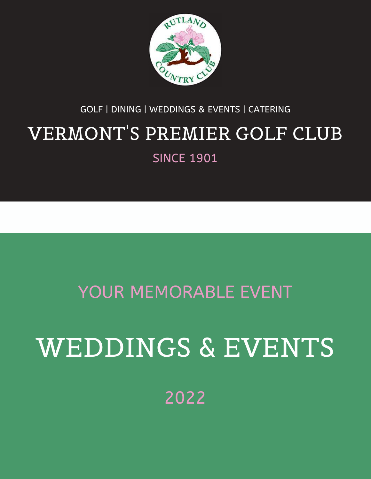

#### GOLF | DINING | WEDDINGS & EVENTS | CATERING

# VERMONT'S PREMIER GOLF CLUB

**SINCE 1901** 

### YOUR MEMORABLE EVENT

# WEDDINGS & EVENTS

2022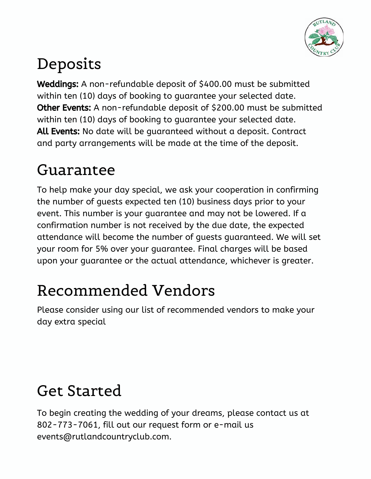

### Deposits

Weddings: A non-refundable deposit of \$400.00 must be submitted within ten (10) days of booking to guarantee your selected date. Other Events: A non-refundable deposit of \$200.00 must be submitted within ten (10) days of booking to guarantee your selected date. All Events: No date will be quaranteed without a deposit. Contract and party arrangements will be made at the time of the deposit.

### Guarantee

To help make your day special, we ask your cooperation in confirming the number of guests expected ten (10) business days prior to your event. This number is your guarantee and may not be lowered. If a confirmation number is not received by the due date, the expected attendance will become the number of guests guaranteed. We will set your room for 5% over your guarantee. Final charges will be based upon your guarantee or the actual attendance, whichever is greater.

### Recommended Vendors

Please consider using our list of recommended vendors to make your day extra special

### Get Started

To begin creating the wedding of your dreams, please contact us at 802-773-7061, fill out our request form or e-mail us events@rutlandcountryclub.com.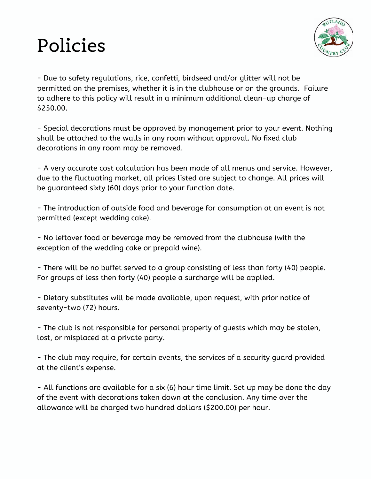## Policies



- Due to safety regulations, rice, confetti, birdseed and/or glitter will not be permitted on the premises, whether it is in the clubhouse or on the grounds. Failure to adhere to this policy will result in a minimum additional clean-up charge of \$250.00.

- Special decorations must be approved by management prior to your event. Nothing shall be attached to the walls in any room without approval. No fixed club decorations in any room may be removed.

- A very accurate cost calculation has been made of all menus and service. However, due to the fluctuating market, all prices listed are subject to change. All prices will be guaranteed sixty (60) days prior to your function date.

- The introduction of outside food and beverage for consumption at an event is not permitted (except wedding cake).

- No leftover food or beverage may be removed from the clubhouse (with the exception of the wedding cake or prepaid wine).

- There will be no buffet served to a group consisting of less than forty (40) people. For groups of less then forty (40) people a surcharge will be applied.

- Dietary substitutes will be made available, upon request, with prior notice of seventy-two (72) hours.

- The club is not responsible for personal property of guests which may be stolen, lost, or misplaced at a private party.

- The club may require, for certain events, the services of a security guard provided at the client's expense.

- All functions are available for a six (6) hour time limit. Set up may be done the day of the event with decorations taken down at the conclusion. Any time over the allowance will be charged two hundred dollars (\$200.00) per hour.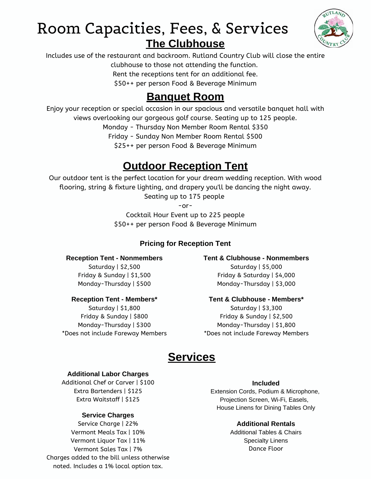### Room Capacities, Fees, & Services **The Clubhouse**



Includes use of the restaurant and backroom. Rutland Country Club will close the entire clubhouse to those not attending the function.

Rent the receptions tent for an additional fee.

\$50++ per person Food & Beverage Minimum

#### **Banquet Room**

Enjoy your reception or special occasion in our spacious and versatile banquet hall with

views overlooking our gorgeous golf course. Seating up to 125 people.

Monday - Thursday Non Member Room Rental \$350

Friday - Sunday Non Member Room Rental \$500

\$25++ per person Food & Beverage Minimum

### **Outdoor Reception Tent**

Our outdoor tent is the perfect location for your dream wedding reception. With wood flooring, string & fixture lighting, and drapery you'll be dancing the night away. Seating up to 175 people

-or-

Cocktail Hour Event up to 225 people \$50++ per person Food & Beverage Minimum

#### **Pricing for Reception Tent**

**Reception Tent - Nonmembers** Saturday | \$2,500 Friday & Sunday | \$1,500

### Monday-Thursday | \$500

#### **Reception Tent - Members\*** Saturday | \$1,800

Friday & Sunday | \$800 Monday-Thursday | \$300 \*Does not include Fareway Members **Tent & Clubhouse - Nonmembers** Saturday | \$5,000 Friday & Saturday | \$4,000

Monday-Thursday | \$3,000

#### **Tent & Clubhouse - Members\***

Saturday | \$3,300 Friday & Sunday | \$2,500 Monday-Thursday | \$1,800 \*Does not include Fareway Members

### **Services**

#### **Additional Labor Charges**

Additional Chef or Carver | \$100 Extra Bartenders | \$125 Extra Waitstaff | \$125

#### **Service Charges**

Service Charge | 22% Vermont Meals Tax | 10% Vermont Liquor Tax | 11% Vermont Sales Tax | 7% Charges added to the bill unless otherwise noted. Includes a 1% local option tax.

#### **Included**

Extension Cords, Podium & Microphone, Projection Screen, Wi-Fi, Easels, House Linens for Dining Tables Only

#### **Additional Rentals**

Additional Tables & Chairs Specialty Linens Dance Floor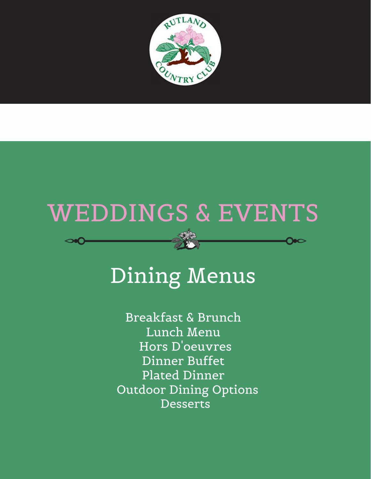

# WEDDINGS & EVENTS

# Dining Menus

Hors D'oeuvres Dinner Buffet Plated Dinner Outdoor Dining Options Breakfast & Brunch Lunch Menu Desserts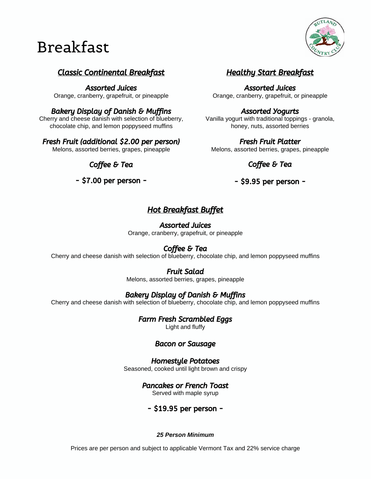### Breakfast



#### Classic Continental Breakfast

Assorted Juices Orange, cranberry, grapefruit, or pineapple

#### Bakery Display of Danish & Muffins

Cherry and cheese danish with selection of blueberry, chocolate chip, and lemon poppyseed muffins

#### Fresh Fruit (additional \$2.00 per person)

Melons, assorted berries, grapes, pineapple

Coffee & Tea

- \$7.00 per person -

#### Healthy Start Breakfast

Assorted Juices Orange, cranberry, grapefruit, or pineapple

#### Assorted Yogurts

Vanilla yogurt with traditional toppings - granola, honey, nuts, assorted berries

Fresh Fruit Platter Melons, assorted berries, grapes, pineapple

#### Coffee & Tea

#### - \$9.95 per person -

#### Hot Breakfast Buffet

#### Assorted Juices

Orange, cranberry, grapefruit, or pineapple

#### Coffee & Tea

Cherry and cheese danish with selection of blueberry, chocolate chip, and lemon poppyseed muffins

#### Fruit Salad

Melons, assorted berries, grapes, pineapple

#### Bakery Display of Danish & Muffins

Cherry and cheese danish with selection of blueberry, chocolate chip, and lemon poppyseed muffins

#### Farm Fresh Scrambled Eggs

Light and fluffy

#### Bacon or Sausage

#### Homestyle Potatoes

Seasoned, cooked until light brown and crispy

#### Pancakes or French Toast

Served with maple syrup

#### - \$19.95 per person -

#### *25 Person Minimum*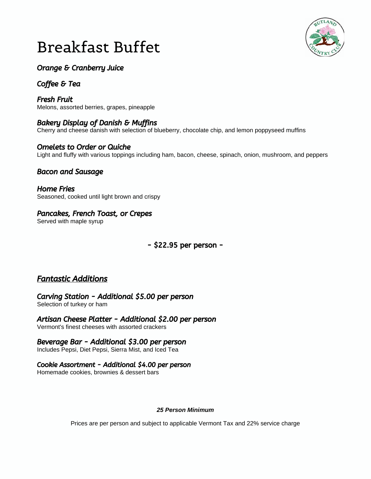### Breakfast Buffet



#### Orange & Cranberry Juice

#### Coffee & Tea

Fresh Fruit Melons, assorted berries, grapes, pineapple

#### Bakery Display of Danish & Muffins

Cherry and cheese danish with selection of blueberry, chocolate chip, and lemon poppyseed muffins

#### Omelets to Order or Quiche

Light and fluffy with various toppings including ham, bacon, cheese, spinach, onion, mushroom, and peppers

#### Bacon and Sausage

Home Fries Seasoned, cooked until light brown and crispy

#### Pancakes, French Toast, or Crepes

Served with maple syrup

#### - \$22.95 per person -

#### Fantastic Additions

Carving Station - Additional \$5.00 per person Selection of turkey or ham

Artisan Cheese Platter - Additional \$2.00 per person

Vermont's finest cheeses with assorted crackers

#### Beverage Bar - Additional \$3.00 per person

Includes Pepsi, Diet Pepsi, Sierra Mist, and Iced Tea

#### Cookie Assortment - Additional \$4.00 per person

Homemade cookies, brownies & dessert bars

#### *25 Person Minimum*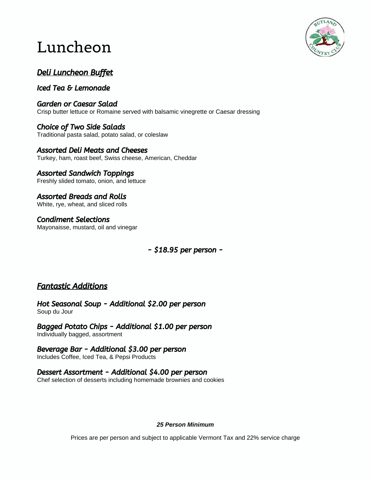### Luncheon



#### Deli Luncheon Buffet

Iced Tea & Lemonade

Garden or Caesar Salad Crisp butter lettuce or Romaine served with balsamic vinegrette or Caesar dressing

Choice of Two Side Salads Traditional pasta salad, potato salad, or coleslaw

Assorted Deli Meats and Cheeses Turkey, ham, roast beef, Swiss cheese, American, Cheddar

#### Assorted Sandwich Toppings

Freshly slided tomato, onion, and lettuce

Assorted Breads and Rolls White, rye, wheat, and sliced rolls

Condiment Selections Mayonaisse, mustard, oil and vinegar

- \$18.95 per person -

#### Fantastic Additions

Hot Seasonal Soup - Additional \$2.00 per person Soup du Jour

Bagged Potato Chips - Additional \$1.00 per person Individually bagged, assortment

Beverage Bar - Additional \$3.00 per person Includes Coffee, Iced Tea, & Pepsi Products

Dessert Assortment - Additional \$4.00 per person Chef selection of desserts including homemade brownies and cookies

#### *25 Person Minimum*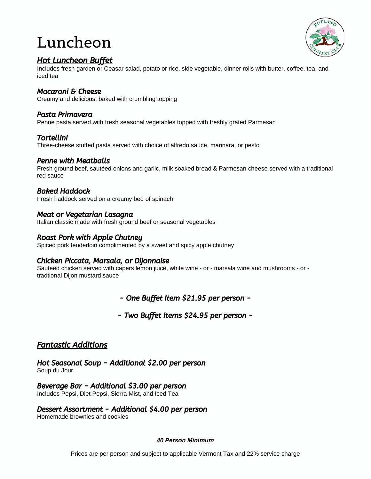### Luncheon



#### Hot Luncheon Buffet

Includes fresh garden or Ceasar salad, potato or rice, side vegetable, dinner rolls with butter, coffee, tea, and iced tea

#### Macaroni & Cheese

Creamy and delicious, baked with crumbling topping

#### Pasta Primavera

Penne pasta served with fresh seasonal vegetables topped with freshly grated Parmesan

#### Tortellini

Three-cheese stuffed pasta served with choice of alfredo sauce, marinara, or pesto

#### Penne with Meatballs

Fresh ground beef, sautéed onions and garlic, milk soaked bread & Parmesan cheese served with a traditional red sauce

#### Baked Haddock

Fresh haddock served on a creamy bed of spinach

#### Meat or Vegetarian Lasagna

Italian classic made with fresh ground beef or seasonal vegetables

#### Roast Pork with Apple Chutney

Spiced pork tenderloin complimented by a sweet and spicy apple chutney

#### Chicken Piccata, Marsala, or Dijonnaise

Sautéed chicken served with capers lemon juice, white wine - or - marsala wine and mushrooms - or tradtional Dijon mustard sauce

- One Buffet Item \$21.95 per person -

- Two Buffet Items \$24.95 per person -

#### Fantastic Additions

Hot Seasonal Soup - Additional \$2.00 per person Soup du Jour

Beverage Bar - Additional \$3.00 per person Includes Pepsi, Diet Pepsi, Sierra Mist, and Iced Tea

#### Dessert Assortment - Additional \$4.00 per person

Homemade brownies and cookies

#### *40 Person Minimum*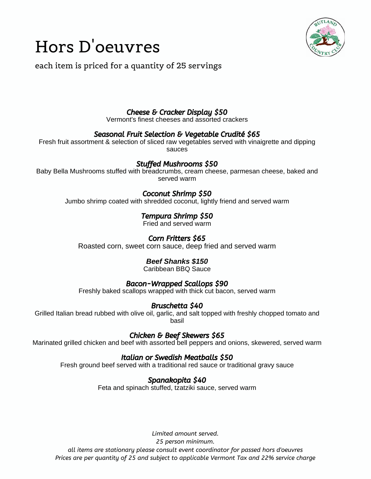

### Hors D'oeuvres

each item is priced for a quantity of 25 servings

#### Cheese & Cracker Display \$50

Vermont's finest cheeses and assorted crackers

#### Seasonal Fruit Selection & Vegetable Crudité \$65

Fresh fruit assortment & selection of sliced raw vegetables served with vinaigrette and dipping sauces

#### Stuffed Mushrooms \$50

Baby Bella Mushrooms stuffed with breadcrumbs, cream cheese, parmesan cheese, baked and served warm

#### Coconut Shrimp \$50

Jumbo shrimp coated with shredded coconut, lightly friend and served warm

#### Tempura Shrimp \$50

Fried and served warm

#### Corn Fritters \$65

Roasted corn, sweet corn sauce, deep fried and served warm

#### *Beef Shanks \$150*

Caribbean BBQ Sauce

#### Bacon-Wrapped Scallops \$90

Freshly baked scallops wrapped with thick cut bacon, served warm

#### Bruschetta \$40

Grilled Italian bread rubbed with olive oil, garlic, and salt topped with freshly chopped tomato and basil

#### Chicken & Beef Skewers \$65

Marinated grilled chicken and beef with assorted bell peppers and onions, skewered, served warm

#### Italian or Swedish Meatballs \$50

Fresh ground beef served with a traditional red sauce or traditional gravy sauce

#### Spanakopita \$40

Feta and spinach stuffed, tzatziki sauce, served warm

*Limited amount served. 25 person minimum. all items are stationary please consult event coordinator for passed hors d'oeuvres Prices are per quantity of 25 and subject to applicable Vermont Tax and 22% service charge*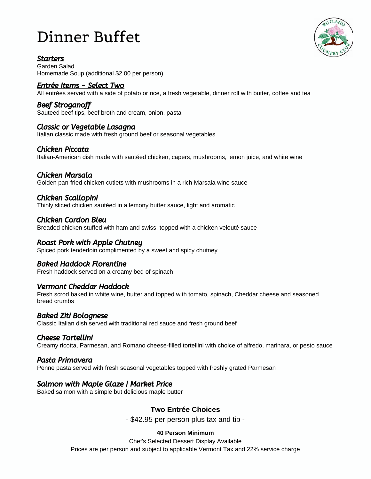### Dinner Buffet

#### **Starters**

Garden Salad Homemade Soup (additional \$2.00 per person)

#### <u>Entrée Items - Select Two</u>

All entrées served with a side of potato or rice, a fresh vegetable, dinner roll with butter, coffee and tea

#### Beef Stroganoff

Sauteed beef tips, beef broth and cream, onion, pasta

#### Classic or Vegetable Lasagna

Italian classic made with fresh ground beef or seasonal vegetables

#### Chicken Piccata

Italian-American dish made with sautéed chicken, capers, mushrooms, lemon juice, and white wine

#### Chicken Marsala

Golden pan-fried chicken cutlets with mushrooms in a rich Marsala wine sauce

#### Chicken Scallopini

Thinly sliced chicken sautéed in a lemony butter sauce, light and aromatic

#### Chicken Cordon Bleu

Breaded chicken stuffed with ham and swiss, topped with a [chicken velouté](https://www.thespruceeats.com/chicken-veloute-of-the-five-mother-sauces-996087) sauce

#### Roast Pork with Apple Chutney

Spiced pork tenderloin complimented by a sweet and spicy chutney

#### Baked Haddock Florentine

Fresh haddock served on a creamy bed of spinach

#### Vermont Cheddar Haddock

Fresh scrod baked in white wine, butter and topped with tomato, spinach, Cheddar cheese and seasoned bread crumbs

#### Baked Ziti Bolognese

Classic Italian dish served with traditional red sauce and fresh ground beef

#### Cheese Tortellini

Creamy ricotta, Parmesan, and Romano cheese-filled tortellini with choice of alfredo, marinara, or pesto sauce

#### Pasta Primavera

Penne pasta served with fresh seasonal vegetables topped with freshly grated Parmesan

#### Salmon with Maple Glaze | Market Price

Baked salmon with a simple but delicious maple butter

#### **Two Entrée Choices**

- \$42.95 per person plus tax and tip -

#### **40 Person Minimum**

Chef's Selected Dessert Display Available Prices are per person and subject to applicable Vermont Tax and 22% service charge

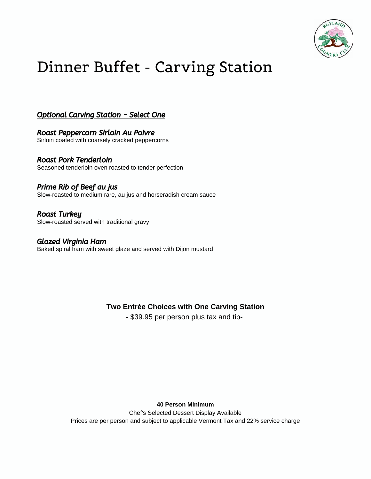

### Dinner Buffet - Carving Station

Optional Carving Station - Select One

Roast Peppercorn Sirloin Au Poivre Sirloin coated with coarsely cracked peppercorns

Roast Pork Tenderloin Seasoned tenderloin oven roasted to tender perfection

Prime Rib of Beef au jus Slow-roasted to medium rare, au jus and horseradish cream sauce

Roast Turkey Slow-roasted served with traditional gravy

Glazed Virginia Ham Baked spiral ham with sweet glaze and served with Dijon mustard

**Two Entrée Choices with One Carving Station**

**-** \$39.95 per person plus tax and tip-

**40 Person Minimum**

Chef's Selected Dessert Display Available Prices are per person and subject to applicable Vermont Tax and 22% service charge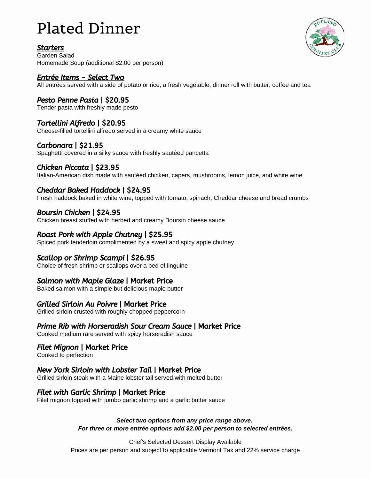### Plated Dinner

#### Starters



Garden Salad Homemade Soup (additional \$2.00 per person)

#### Entrée Items - Select Two

All entrées served with a side of potato or rice, a fresh vegetable, dinner roll with butter, coffee and tea

#### Pesto Penne Pasta | \$20.95

Tender pasta with freshly made pesto

#### Tortellini Alfredo | \$20.95

Cheese-filled tortellini alfredo served in a creamy white sauce

#### Carbonara | \$21.95

Spaghetti covered in a silky sauce with freshly sautéed pancetta

#### Chicken Piccata | \$23.95

Italian-American dish made with sautéed chicken, capers, mushrooms, lemon juice, and white wine

#### Cheddar Baked Haddock | \$24.95

Fresh haddock baked in white wine, topped with tomato, spinach, Cheddar cheese and bread crumbs

#### Boursin Chicken | \$24.95

Chicken breast stuffed with herbed and creamy Boursin cheese sauce

#### Roast Pork with Apple Chutney | \$25.95

Spiced pork tenderloin complimented by a sweet and spicy apple chutney

#### Scallop or Shrimp Scampi | \$26.95

Choice of fresh shrimp or scallops over a bed of linguine

#### Salmon with Maple Glaze | Market Price

Baked salmon with a simple but delicious maple butter

#### Grilled Sirloin Au Poivre | Market Price

Grilled sirloin crusted with roughly chopped peppercorn

#### Prime Rib with Horseradish Sour Cream Sauce | Market Price

Cooked medium rare served with spicy horseradish sauce

#### Filet Mignon | Market Price

Cooked to perfection

#### New York Sirloin with Lobster Tail | Market Price

Grilled sirloin steak with a Maine lobster tail served with melted butter

#### Filet with Garlic Shrimp | Market Price

Filet mignon topped with jumbo garlic shrimp and a garlic butter sauce

#### *Select two options from any price range above. For three or more entrée options add \$2.00 per person to selected entrées.*

Chef's Selected Dessert Display Available Prices are per person and subject to applicable Vermont Tax and 22% service charge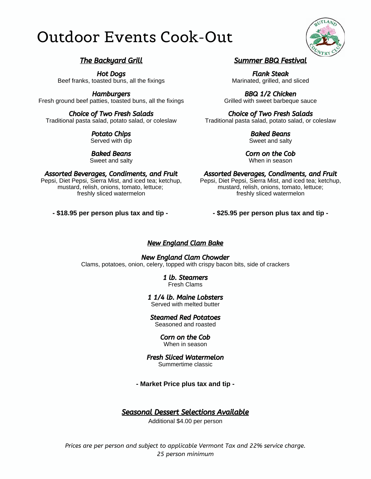### Outdoor Events Cook-Out



#### The Backyard Grill

Hot Dogs Beef franks, toasted buns, all the fixings

**Hamburgers** Fresh ground beef patties, toasted buns, all the fixings

Choice of Two Fresh Salads Traditional pasta salad, potato salad, or coleslaw

> Potato Chips Served with dip

Baked Beans Sweet and salty

Assorted Beverages, Condiments, and Fruit Pepsi, Diet Pepsi, Sierra Mist, and iced tea; ketchup, mustard, relish, onions, tomato, lettuce;

freshly sliced watermelon

**- \$18.95 per person plus tax and tip -** 

#### Summer BBQ Festival

Flank Steak Marinated, grilled, and sliced

BBQ 1/2 Chicken Grilled with sweet barbeque sauce

Choice of Two Fresh Salads Traditional pasta salad, potato salad, or coleslaw

> Baked Beans Sweet and salty

Corn on the Cob When in season

Assorted Beverages, Condiments, and Fruit Pepsi, Diet Pepsi, Sierra Mist, and iced tea; ketchup, mustard, relish, onions, tomato, lettuce; freshly sliced watermelon

#### **- \$25.95 per person plus tax and tip -**

#### New England Clam Bake

New England Clam Chowder Clams, potatoes, onion, celery, topped with crispy bacon bits, side of crackers

> 1 lb. Steamers Fresh Clams

1 1/4 lb. Maine Lobsters

Served with melted butter

Steamed Red Potatoes Seasoned and roasted

> Corn on the Cob When in season

Fresh Sliced Watermelon Summertime classic

#### **- Market Price plus tax and tip -**

#### Seasonal Dessert Selections Available

Additional \$4.00 per person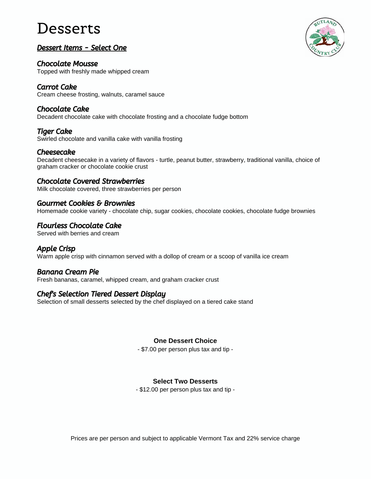### Desserts

#### Dessert Items - Select One

Chocolate Mousse Topped with freshly made whipped cream

Carrot Cake Cream cheese frosting, walnuts, caramel sauce

#### Chocolate Cake

Decadent chocolate cake with chocolate frosting and a chocolate fudge bottom

Tiger Cake Swirled chocolate and vanilla cake with vanilla frosting

#### Cheesecake

Decadent cheesecake in a variety of flavors - turtle, peanut butter, strawberry, traditional vanilla, choice of graham cracker or chocolate cookie crust

#### Chocolate Covered Strawberries

Milk chocolate covered, three strawberries per person

#### Gourmet Cookies & Brownies

Homemade cookie variety - chocolate chip, sugar cookies, chocolate cookies, chocolate fudge brownies

#### Flourless Chocolate Cake

Served with berries and cream

#### Apple Crisp

Warm apple crisp with cinnamon served with a dollop of cream or a scoop of vanilla ice cream

#### Banana Cream Pie

Fresh bananas, caramel, whipped cream, and graham cracker crust

#### Chef's Selection Tiered Dessert Display

Selection of small desserts selected by the chef displayed on a tiered cake stand

#### **One Dessert Choice**

- \$7.00 per person plus tax and tip -

#### **Select Two Desserts**

- \$12.00 per person plus tax and tip -



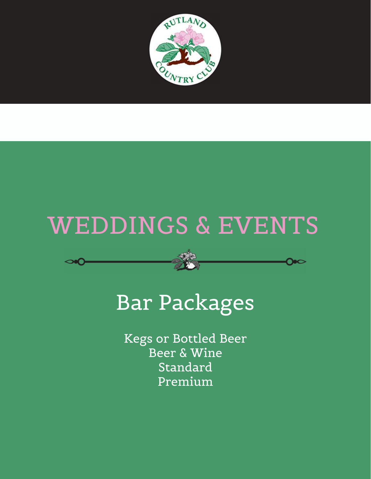

# WEDDINGS & EVENTS

# Bar Packages

Kegs or Bottled Beer Beer & Wine Standard Premium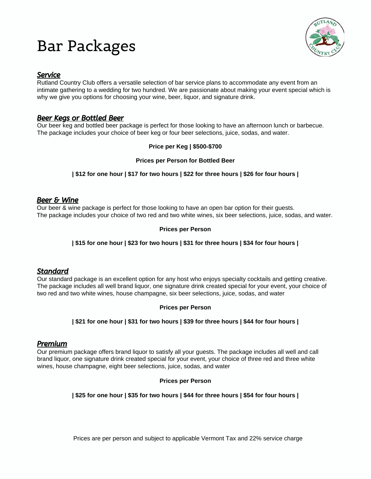### Bar Packages



#### Service

Rutland Country Club offers a versatile selection of bar service plans to accommodate any event from an intimate gathering to a wedding for two hundred. We are passionate about making your event special which is why we give you options for choosing your wine, beer, liquor, and signature drink.

#### Beer Kegs or Bottled Beer

Our beer keg and bottled beer package is perfect for those looking to have an afternoon lunch or barbecue. The package includes your choice of beer keg or four beer selections, juice, sodas, and water.

#### **Price per Keg | \$500-\$700**

#### **Prices per Person for Bottled Beer**

#### **| \$12 for one hour | \$17 for two hours | \$22 for three hours | \$26 for four hours |**

#### Beer & Wine

Our beer & wine package is perfect for those looking to have an open bar option for their guests. The package includes your choice of two red and two white wines, six beer selections, juice, sodas, and water.

#### **Prices per Person**

#### **| \$15 for one hour | \$23 for two hours | \$31 for three hours | \$34 for four hours |**

#### **Standard**

Our standard package is an excellent option for any host who enjoys specialty cocktails and getting creative. The package includes all well brand liquor, one signature drink created special for your event, your choice of two red and two white wines, house champagne, six beer selections, juice, sodas, and water

#### **Prices per Person**

#### **| \$21 for one hour | \$31 for two hours | \$39 for three hours | \$44 for four hours |**

#### Premium

Our premium package offers brand liquor to satisfy all your guests. The package includes all well and call brand liquor, one signature drink created special for your event, your choice of three red and three white wines, house champagne, eight beer selections, juice, sodas, and water

#### **Prices per Person**

#### **| \$25 for one hour | \$35 for two hours | \$44 for three hours | \$54 for four hours |**